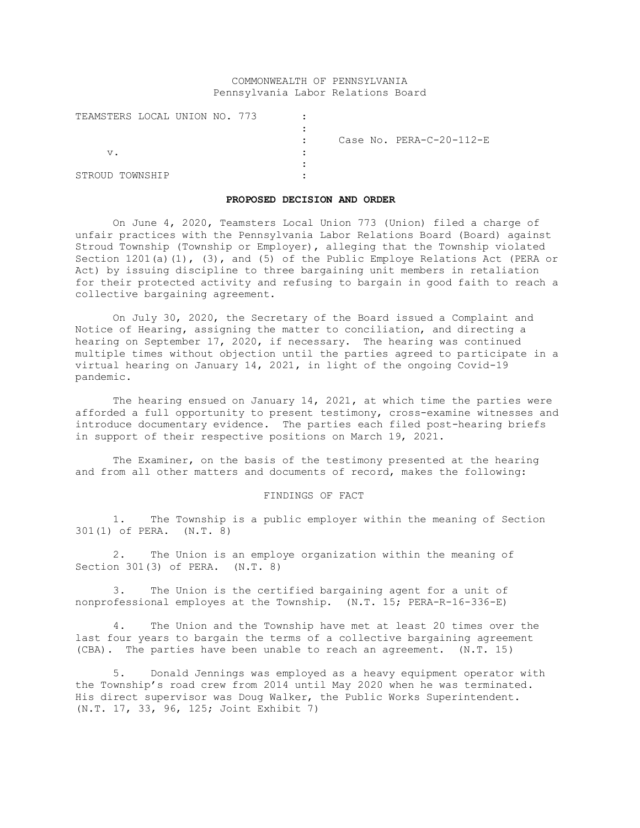# COMMONWEALTH OF PENNSYLVANIA Pennsylvania Labor Relations Board

| TEAMSTERS LOCAL UNION NO. 773 |  |  |  |  |                          |
|-------------------------------|--|--|--|--|--------------------------|
|                               |  |  |  |  |                          |
|                               |  |  |  |  | Case No. PERA-C-20-112-E |
| v.                            |  |  |  |  |                          |
|                               |  |  |  |  |                          |
| STROUD TOWNSHIP               |  |  |  |  |                          |

#### **PROPOSED DECISION AND ORDER**

On June 4, 2020, Teamsters Local Union 773 (Union) filed a charge of unfair practices with the Pennsylvania Labor Relations Board (Board) against Stroud Township (Township or Employer), alleging that the Township violated Section 1201(a)(1), (3), and (5) of the Public Employe Relations Act (PERA or Act) by issuing discipline to three bargaining unit members in retaliation for their protected activity and refusing to bargain in good faith to reach a collective bargaining agreement.

On July 30, 2020, the Secretary of the Board issued a Complaint and Notice of Hearing, assigning the matter to conciliation, and directing a hearing on September 17, 2020, if necessary. The hearing was continued multiple times without objection until the parties agreed to participate in a virtual hearing on January 14, 2021, in light of the ongoing Covid-19 pandemic.

The hearing ensued on January 14, 2021, at which time the parties were afforded a full opportunity to present testimony, cross-examine witnesses and introduce documentary evidence. The parties each filed post-hearing briefs in support of their respective positions on March 19, 2021.

The Examiner, on the basis of the testimony presented at the hearing and from all other matters and documents of record, makes the following:

## FINDINGS OF FACT

1. The Township is a public employer within the meaning of Section 301(1) of PERA. (N.T. 8)

2. The Union is an employe organization within the meaning of Section 301(3) of PERA. (N.T. 8)

The Union is the certified bargaining agent for a unit of nonprofessional employes at the Township. (N.T. 15; PERA-R-16-336-E)

4. The Union and the Township have met at least 20 times over the last four years to bargain the terms of a collective bargaining agreement (CBA). The parties have been unable to reach an agreement. (N.T. 15)

5. Donald Jennings was employed as a heavy equipment operator with the Township's road crew from 2014 until May 2020 when he was terminated. His direct supervisor was Doug Walker, the Public Works Superintendent. (N.T. 17, 33, 96, 125; Joint Exhibit 7)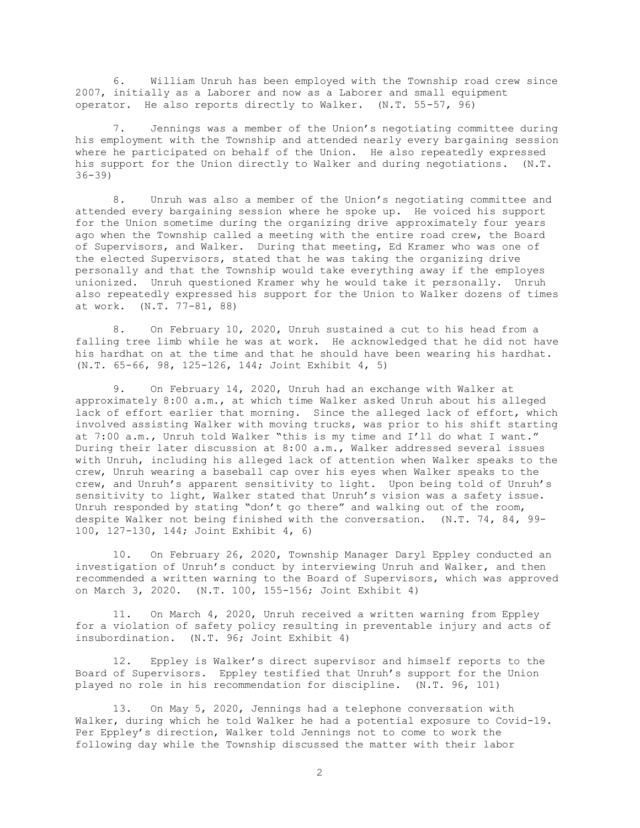6. William Unruh has been employed with the Township road crew since 2007, initially as a Laborer and now as a Laborer and small equipment operator. He also reports directly to Walker. (N.T. 55-57, 96)

7. Jennings was a member of the Union's negotiating committee during his employment with the Township and attended nearly every bargaining session where he participated on behalf of the Union. He also repeatedly expressed his support for the Union directly to Walker and during negotiations. (N.T. 36-39)

8. Unruh was also a member of the Union's negotiating committee and attended every bargaining session where he spoke up. He voiced his support for the Union sometime during the organizing drive approximately four years ago when the Township called a meeting with the entire road crew, the Board of Supervisors, and Walker. During that meeting, Ed Kramer who was one of the elected Supervisors, stated that he was taking the organizing drive personally and that the Township would take everything away if the employes unionized. Unruh questioned Kramer why he would take it personally. Unruh also repeatedly expressed his support for the Union to Walker dozens of times at work. (N.T. 77-81, 88)

8. On February 10, 2020, Unruh sustained a cut to his head from a falling tree limb while he was at work. He acknowledged that he did not have his hardhat on at the time and that he should have been wearing his hardhat. (N.T. 65-66, 98, 125-126, 144; Joint Exhibit 4, 5)

9. On February 14, 2020, Unruh had an exchange with Walker at approximately 8:00 a.m., at which time Walker asked Unruh about his alleged lack of effort earlier that morning. Since the alleged lack of effort, which involved assisting Walker with moving trucks, was prior to his shift starting at 7:00 a.m., Unruh told Walker "this is my time and I'll do what I want." During their later discussion at 8:00 a.m., Walker addressed several issues with Unruh, including his alleged lack of attention when Walker speaks to the crew, Unruh wearing a baseball cap over his eyes when Walker speaks to the crew, and Unruh's apparent sensitivity to light. Upon being told of Unruh's sensitivity to light, Walker stated that Unruh's vision was a safety issue. Unruh responded by stating "don't go there" and walking out of the room, despite Walker not being finished with the conversation. (N.T. 74, 84, 99- 100, 127-130, 144; Joint Exhibit 4, 6)

10. On February 26, 2020, Township Manager Daryl Eppley conducted an investigation of Unruh's conduct by interviewing Unruh and Walker, and then recommended a written warning to the Board of Supervisors, which was approved on March 3, 2020. (N.T. 100, 155-156; Joint Exhibit 4)

11. On March 4, 2020, Unruh received a written warning from Eppley for a violation of safety policy resulting in preventable injury and acts of insubordination. (N.T. 96; Joint Exhibit 4)

12. Eppley is Walker's direct supervisor and himself reports to the Board of Supervisors. Eppley testified that Unruh's support for the Union played no role in his recommendation for discipline. (N.T. 96, 101)

13. On May 5, 2020, Jennings had a telephone conversation with Walker, during which he told Walker he had a potential exposure to Covid-19. Per Eppley's direction, Walker told Jennings not to come to work the following day while the Township discussed the matter with their labor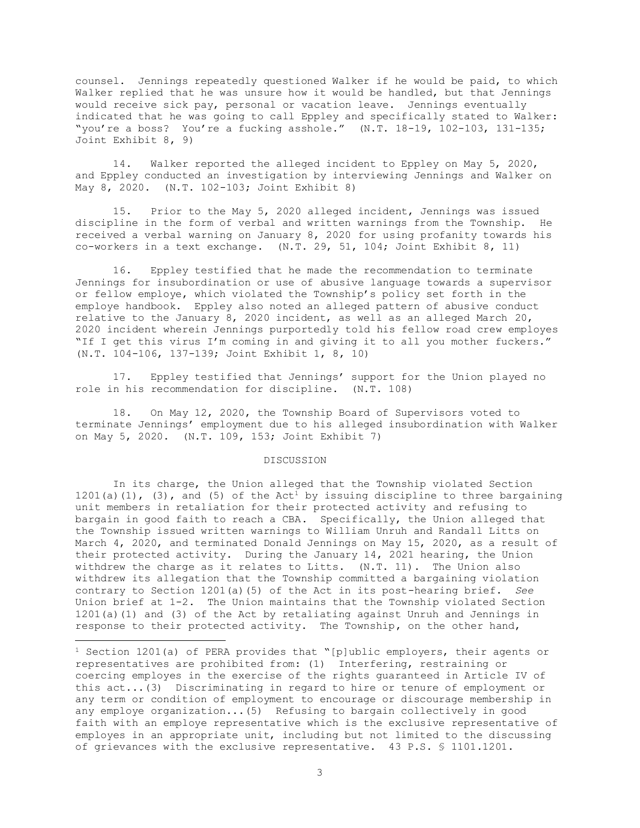counsel. Jennings repeatedly questioned Walker if he would be paid, to which Walker replied that he was unsure how it would be handled, but that Jennings would receive sick pay, personal or vacation leave. Jennings eventually indicated that he was going to call Eppley and specifically stated to Walker: "you're a boss? You're a fucking asshole." (N.T. 18-19, 102-103, 131-135; Joint Exhibit 8, 9)

14. Walker reported the alleged incident to Eppley on May 5, 2020, and Eppley conducted an investigation by interviewing Jennings and Walker on May 8, 2020. (N.T. 102-103; Joint Exhibit 8)

15. Prior to the May 5, 2020 alleged incident, Jennings was issued discipline in the form of verbal and written warnings from the Township. He received a verbal warning on January 8, 2020 for using profanity towards his co-workers in a text exchange. (N.T. 29, 51, 104; Joint Exhibit 8, 11)

16. Eppley testified that he made the recommendation to terminate Jennings for insubordination or use of abusive language towards a supervisor or fellow employe, which violated the Township's policy set forth in the employe handbook. Eppley also noted an alleged pattern of abusive conduct relative to the January 8, 2020 incident, as well as an alleged March 20, 2020 incident wherein Jennings purportedly told his fellow road crew employes "If I get this virus I'm coming in and giving it to all you mother fuckers." (N.T. 104-106, 137-139; Joint Exhibit 1, 8, 10)

17. Eppley testified that Jennings' support for the Union played no role in his recommendation for discipline. (N.T. 108)

18. On May 12, 2020, the Township Board of Supervisors voted to terminate Jennings' employment due to his alleged insubordination with Walker on May 5, 2020. (N.T. 109, 153; Joint Exhibit 7)

# DISCUSSION

In its charge, the Union alleged that the Township violated Section 1201(a)(1), (3), and (5) of the Act<sup>1</sup> by issuing discipline to three bargaining unit members in retaliation for their protected activity and refusing to bargain in good faith to reach a CBA. Specifically, the Union alleged that the Township issued written warnings to William Unruh and Randall Litts on March 4, 2020, and terminated Donald Jennings on May 15, 2020, as a result of their protected activity. During the January 14, 2021 hearing, the Union withdrew the charge as it relates to Litts. (N.T. 11). The Union also withdrew its allegation that the Township committed a bargaining violation contrary to Section 1201(a)(5) of the Act in its post-hearing brief. *See*  Union brief at 1-2. The Union maintains that the Township violated Section 1201(a)(1) and (3) of the Act by retaliating against Unruh and Jennings in response to their protected activity. The Township, on the other hand,

<sup>1</sup> Section 1201(a) of PERA provides that "[p]ublic employers, their agents or representatives are prohibited from: (1) Interfering, restraining or coercing employes in the exercise of the rights guaranteed in Article IV of this act...(3) Discriminating in regard to hire or tenure of employment or any term or condition of employment to encourage or discourage membership in any employe organization...(5) Refusing to bargain collectively in good faith with an employe representative which is the exclusive representative of employes in an appropriate unit, including but not limited to the discussing of grievances with the exclusive representative. 43 P.S. § 1101.1201.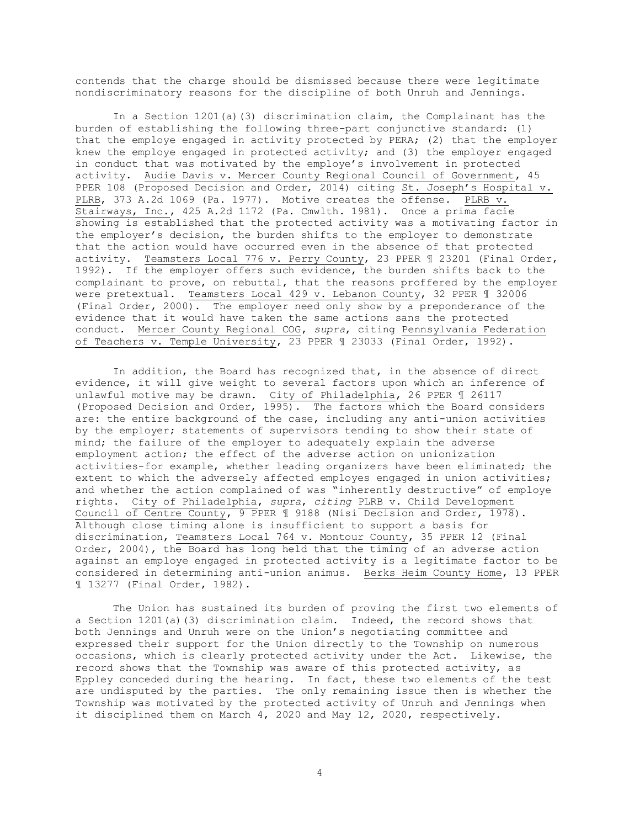contends that the charge should be dismissed because there were legitimate nondiscriminatory reasons for the discipline of both Unruh and Jennings.

In a Section 1201(a)(3) discrimination claim, the Complainant has the burden of establishing the following three-part conjunctive standard: (1) that the employe engaged in activity protected by PERA; (2) that the employer knew the employe engaged in protected activity; and (3) the employer engaged in conduct that was motivated by the employe's involvement in protected activity. Audie Davis v. Mercer County Regional Council of Government, 45 PPER 108 (Proposed Decision and Order, 2014) citing St. Joseph's Hospital v. PLRB, 373 A.2d 1069 (Pa. 1977). Motive creates the offense. PLRB v. Stairways, Inc., 425 A.2d 1172 (Pa. Cmwlth. 1981). Once a prima facie showing is established that the protected activity was a motivating factor in the employer's decision, the burden shifts to the employer to demonstrate that the action would have occurred even in the absence of that protected activity. Teamsters Local 776 v. Perry County, 23 PPER 1 23201 (Final Order, 1992). If the employer offers such evidence, the burden shifts back to the complainant to prove, on rebuttal, that the reasons proffered by the employer were pretextual. Teamsters Local 429 v. Lebanon County, 32 PPER ¶ 32006 (Final Order, 2000). The employer need only show by a preponderance of the evidence that it would have taken the same actions sans the protected conduct. Mercer County Regional COG, *supra*, citing Pennsylvania Federation of Teachers v. Temple University, 23 PPER ¶ 23033 (Final Order, 1992).

In addition, the Board has recognized that, in the absence of direct evidence, it will give weight to several factors upon which an inference of unlawful motive may be drawn. City of Philadelphia, 26 PPER ¶ 26117 (Proposed Decision and Order, 1995). The factors which the Board considers are: the entire background of the case, including any anti-union activities by the employer; statements of supervisors tending to show their state of mind; the failure of the employer to adequately explain the adverse employment action; the effect of the adverse action on unionization activities-for example, whether leading organizers have been eliminated; the extent to which the adversely affected employes engaged in union activities; and whether the action complained of was "inherently destructive" of employe rights. City of Philadelphia, *supra*, *citing* PLRB v. Child Development Council of Centre County, 9 PPER 1 9188 (Nisi Decision and Order, 1978). Although close timing alone is insufficient to support a basis for discrimination, Teamsters Local 764 v. Montour County, 35 PPER 12 (Final Order, 2004), the Board has long held that the timing of an adverse action against an employe engaged in protected activity is a legitimate factor to be considered in determining anti-union animus. Berks Heim County Home, 13 PPER ¶ 13277 (Final Order, 1982).

The Union has sustained its burden of proving the first two elements of a Section 1201(a)(3) discrimination claim. Indeed, the record shows that both Jennings and Unruh were on the Union's negotiating committee and expressed their support for the Union directly to the Township on numerous occasions, which is clearly protected activity under the Act. Likewise, the record shows that the Township was aware of this protected activity, as Eppley conceded during the hearing. In fact, these two elements of the test are undisputed by the parties. The only remaining issue then is whether the Township was motivated by the protected activity of Unruh and Jennings when it disciplined them on March 4, 2020 and May 12, 2020, respectively.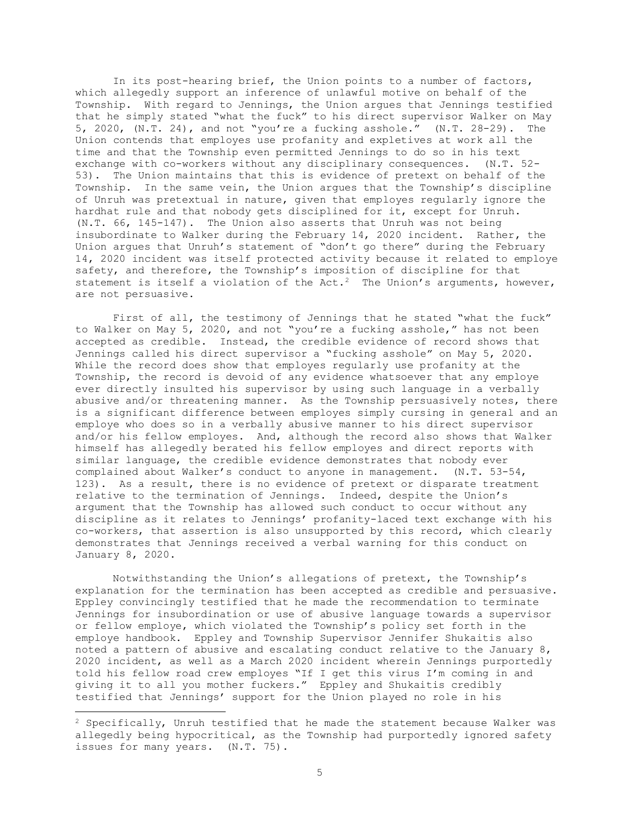In its post-hearing brief, the Union points to a number of factors, which allegedly support an inference of unlawful motive on behalf of the Township. With regard to Jennings, the Union argues that Jennings testified that he simply stated "what the fuck" to his direct supervisor Walker on May 5, 2020, (N.T. 24), and not "you're a fucking asshole." (N.T. 28-29). The Union contends that employes use profanity and expletives at work all the time and that the Township even permitted Jennings to do so in his text exchange with co-workers without any disciplinary consequences. (N.T. 52- 53). The Union maintains that this is evidence of pretext on behalf of the Township. In the same vein, the Union argues that the Township's discipline of Unruh was pretextual in nature, given that employes regularly ignore the hardhat rule and that nobody gets disciplined for it, except for Unruh. (N.T. 66, 145-147). The Union also asserts that Unruh was not being insubordinate to Walker during the February 14, 2020 incident. Rather, the Union argues that Unruh's statement of "don't go there" during the February 14, 2020 incident was itself protected activity because it related to employe safety, and therefore, the Township's imposition of discipline for that statement is itself a violation of the Act.<sup>2</sup> The Union's arguments, however, are not persuasive.

First of all, the testimony of Jennings that he stated "what the fuck" to Walker on May 5, 2020, and not "you're a fucking asshole," has not been accepted as credible. Instead, the credible evidence of record shows that Jennings called his direct supervisor a "fucking asshole" on May 5, 2020. While the record does show that employes regularly use profanity at the Township, the record is devoid of any evidence whatsoever that any employe ever directly insulted his supervisor by using such language in a verbally abusive and/or threatening manner. As the Township persuasively notes, there is a significant difference between employes simply cursing in general and an employe who does so in a verbally abusive manner to his direct supervisor and/or his fellow employes. And, although the record also shows that Walker himself has allegedly berated his fellow employes and direct reports with similar language, the credible evidence demonstrates that nobody ever complained about Walker's conduct to anyone in management. (N.T. 53-54, 123). As a result, there is no evidence of pretext or disparate treatment relative to the termination of Jennings. Indeed, despite the Union's argument that the Township has allowed such conduct to occur without any discipline as it relates to Jennings' profanity-laced text exchange with his co-workers, that assertion is also unsupported by this record, which clearly demonstrates that Jennings received a verbal warning for this conduct on January 8, 2020.

Notwithstanding the Union's allegations of pretext, the Township's explanation for the termination has been accepted as credible and persuasive. Eppley convincingly testified that he made the recommendation to terminate Jennings for insubordination or use of abusive language towards a supervisor or fellow employe, which violated the Township's policy set forth in the employe handbook. Eppley and Township Supervisor Jennifer Shukaitis also noted a pattern of abusive and escalating conduct relative to the January 8, 2020 incident, as well as a March 2020 incident wherein Jennings purportedly told his fellow road crew employes "If I get this virus I'm coming in and giving it to all you mother fuckers." Eppley and Shukaitis credibly testified that Jennings' support for the Union played no role in his

 $2$  Specifically, Unruh testified that he made the statement because Walker was allegedly being hypocritical, as the Township had purportedly ignored safety issues for many years. (N.T. 75).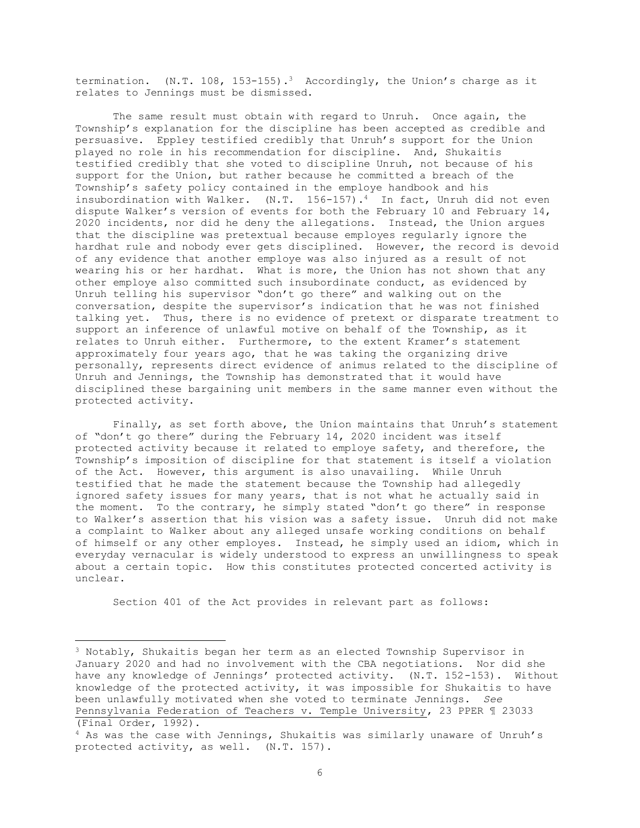termination. (N.T. 108, 153-155).<sup>3</sup> Accordingly, the Union's charge as it relates to Jennings must be dismissed.

The same result must obtain with regard to Unruh. Once again, the Township's explanation for the discipline has been accepted as credible and persuasive. Eppley testified credibly that Unruh's support for the Union played no role in his recommendation for discipline. And, Shukaitis testified credibly that she voted to discipline Unruh, not because of his support for the Union, but rather because he committed a breach of the Township's safety policy contained in the employe handbook and his insubordination with Walker. (N.T. 156-157).4 In fact, Unruh did not even dispute Walker's version of events for both the February 10 and February 14, 2020 incidents, nor did he deny the allegations. Instead, the Union argues that the discipline was pretextual because employes regularly ignore the hardhat rule and nobody ever gets disciplined. However, the record is devoid of any evidence that another employe was also injured as a result of not wearing his or her hardhat. What is more, the Union has not shown that any other employe also committed such insubordinate conduct, as evidenced by Unruh telling his supervisor "don't go there" and walking out on the conversation, despite the supervisor's indication that he was not finished talking yet. Thus, there is no evidence of pretext or disparate treatment to support an inference of unlawful motive on behalf of the Township, as it relates to Unruh either. Furthermore, to the extent Kramer's statement approximately four years ago, that he was taking the organizing drive personally, represents direct evidence of animus related to the discipline of Unruh and Jennings, the Township has demonstrated that it would have disciplined these bargaining unit members in the same manner even without the protected activity.

Finally, as set forth above, the Union maintains that Unruh's statement of "don't go there" during the February 14, 2020 incident was itself protected activity because it related to employe safety, and therefore, the Township's imposition of discipline for that statement is itself a violation of the Act. However, this argument is also unavailing. While Unruh testified that he made the statement because the Township had allegedly ignored safety issues for many years, that is not what he actually said in the moment. To the contrary, he simply stated "don't go there" in response to Walker's assertion that his vision was a safety issue. Unruh did not make a complaint to Walker about any alleged unsafe working conditions on behalf of himself or any other employes. Instead, he simply used an idiom, which in everyday vernacular is widely understood to express an unwillingness to speak about a certain topic. How this constitutes protected concerted activity is unclear.

Section 401 of the Act provides in relevant part as follows:

 $3$  Notably, Shukaitis began her term as an elected Township Supervisor in January 2020 and had no involvement with the CBA negotiations. Nor did she have any knowledge of Jennings' protected activity. (N.T. 152-153). Without knowledge of the protected activity, it was impossible for Shukaitis to have been unlawfully motivated when she voted to terminate Jennings. *See*  Pennsylvania Federation of Teachers v. Temple University, 23 PPER ¶ 23033 (Final Order, 1992).

<sup>4</sup> As was the case with Jennings, Shukaitis was similarly unaware of Unruh's protected activity, as well. (N.T. 157).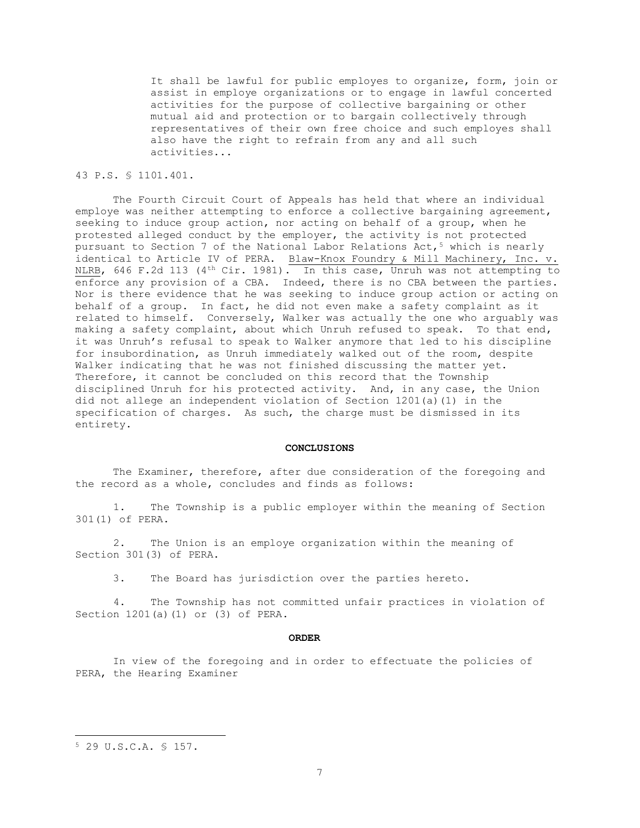It shall be lawful for public employes to organize, form, join or assist in employe organizations or to engage in lawful concerted activities for the purpose of collective bargaining or other mutual aid and protection or to bargain collectively through representatives of their own free choice and such employes shall also have the right to refrain from any and all such activities...

## 43 P.S. § 1101.401.

The Fourth Circuit Court of Appeals has held that where an individual employe was neither attempting to enforce a collective bargaining agreement, seeking to induce group action, nor acting on behalf of a group, when he protested alleged conduct by the employer, the activity is not protected pursuant to Section 7 of the National Labor Relations Act,<sup>5</sup> which is nearly identical to Article IV of PERA. Blaw-Knox Foundry & Mill Machinery, Inc. v. NLRB, 646 F.2d 113 (4<sup>th</sup> Cir. 1981). In this case, Unruh was not attempting to enforce any provision of a CBA. Indeed, there is no CBA between the parties. Nor is there evidence that he was seeking to induce group action or acting on behalf of a group. In fact, he did not even make a safety complaint as it related to himself. Conversely, Walker was actually the one who arguably was making a safety complaint, about which Unruh refused to speak. To that end, it was Unruh's refusal to speak to Walker anymore that led to his discipline for insubordination, as Unruh immediately walked out of the room, despite Walker indicating that he was not finished discussing the matter yet. Therefore, it cannot be concluded on this record that the Township disciplined Unruh for his protected activity. And, in any case, the Union did not allege an independent violation of Section 1201(a)(1) in the specification of charges. As such, the charge must be dismissed in its entirety.

#### **CONCLUSIONS**

The Examiner, therefore, after due consideration of the foregoing and the record as a whole, concludes and finds as follows:

 1. The Township is a public employer within the meaning of Section 301(1) of PERA.

 2. The Union is an employe organization within the meaning of Section 301(3) of PERA.

3. The Board has jurisdiction over the parties hereto.

 4. The Township has not committed unfair practices in violation of Section 1201(a)(1) or (3) of PERA.

#### **ORDER**

In view of the foregoing and in order to effectuate the policies of PERA, the Hearing Examiner

<sup>5</sup> 29 U.S.C.A. § 157.